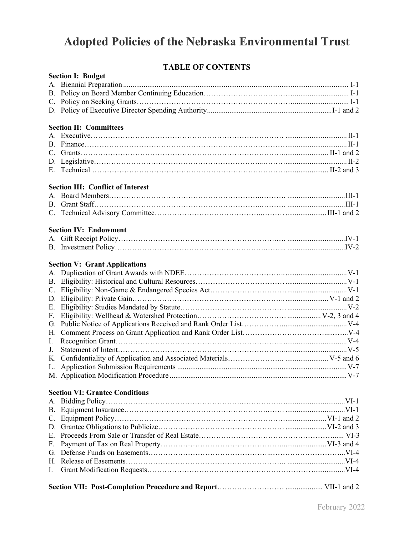# **Adopted Policies of the Nebraska Environmental Trust**

# **TABLE OF CONTENTS**

| 1112122 VI VVIIIIIIV     |  |  |
|--------------------------|--|--|
| <b>Section I: Budget</b> |  |  |
|                          |  |  |
|                          |  |  |
|                          |  |  |
|                          |  |  |

#### **Section II: Committees**

#### **Section III: Conflict of Interest**

#### **Section IV: Endowment**

#### **Section V: Grant Applications**

#### **Section VI: Grantee Conditions**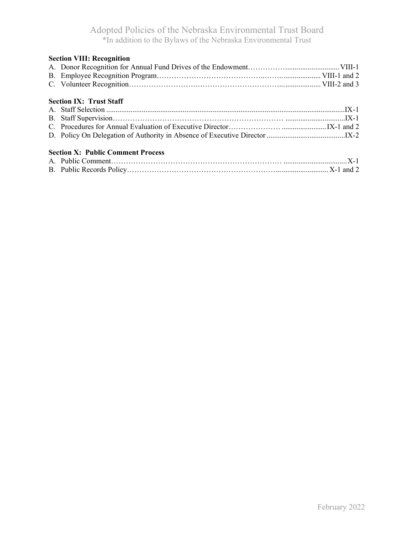| <b>Section VIII: Recognition</b>         |  |
|------------------------------------------|--|
|                                          |  |
|                                          |  |
|                                          |  |
| <b>Section IX: Trust Staff</b>           |  |
|                                          |  |
|                                          |  |
|                                          |  |
|                                          |  |
| <b>Section X: Public Comment Process</b> |  |
|                                          |  |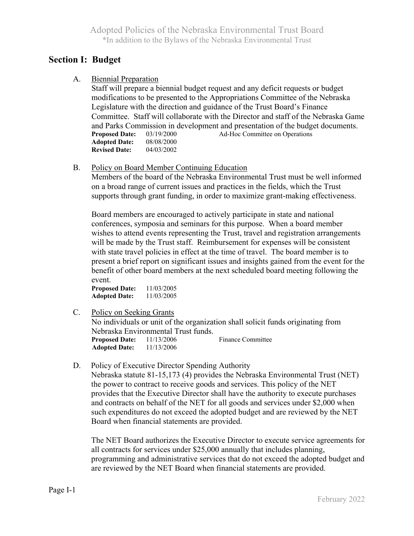# **Section I: Budget**

A. Biennial Preparation

 Staff will prepare a biennial budget request and any deficit requests or budget modifications to be presented to the Appropriations Committee of the Nebraska Legislature with the direction and guidance of the Trust Board's Finance Committee. Staff will collaborate with the Director and staff of the Nebraska Game and Parks Commission in development and presentation of the budget documents. **Proposed Date:** 03/19/2000 Ad-Hoc Committee on Operations **Adopted Date:** 08/08/2000 **Revised Date:** 04/03/2002

B. Policy on Board Member Continuing Education

 Members of the board of the Nebraska Environmental Trust must be well informed on a broad range of current issues and practices in the fields, which the Trust supports through grant funding, in order to maximize grant-making effectiveness.

 Board members are encouraged to actively participate in state and national conferences, symposia and seminars for this purpose. When a board member wishes to attend events representing the Trust, travel and registration arrangements will be made by the Trust staff. Reimbursement for expenses will be consistent with state travel policies in effect at the time of travel. The board member is to present a brief report on significant issues and insights gained from the event for the benefit of other board members at the next scheduled board meeting following the event.

**Proposed Date:** 11/03/2005  **Adopted Date:** 11/03/2005

C. Policy on Seeking Grants

 No individuals or unit of the organization shall solicit funds originating from Nebraska Environmental Trust funds.**Proposed Date:** 11/13/2006 Finance Committee  **Adopted Date:** 11/13/2006

D. Policy of Executive Director Spending Authority

Nebraska statute 81-15,173 (4) provides the Nebraska Environmental Trust (NET) the power to contract to receive goods and services. This policy of the NET provides that the Executive Director shall have the authority to execute purchases and contracts on behalf of the NET for all goods and services under \$2,000 when such expenditures do not exceed the adopted budget and are reviewed by the NET Board when financial statements are provided.

The NET Board authorizes the Executive Director to execute service agreements for all contracts for services under \$25,000 annually that includes planning, programming and administrative services that do not exceed the adopted budget and are reviewed by the NET Board when financial statements are provided.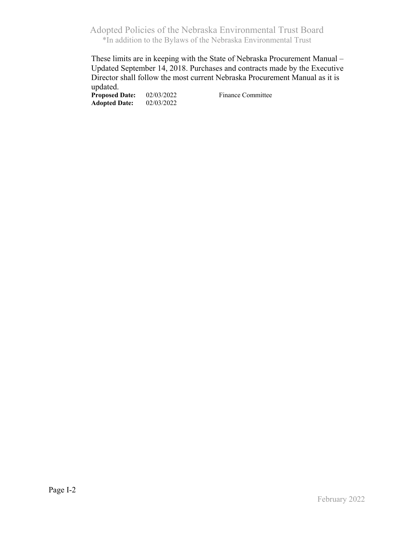These limits are in keeping with the State of Nebraska Procurement Manual – Updated September 14, 2018. Purchases and contracts made by the Executive Director shall follow the most current Nebraska Procurement Manual as it is updated.

**Proposed Date:** 02/03/2022 Finance Committee<br>Adopted Date: 02/03/2022 **Adopted Date:**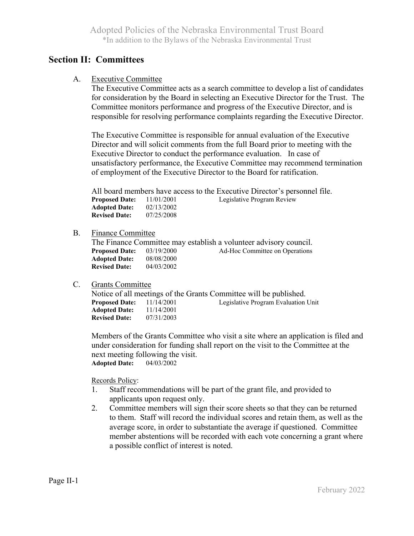### **Section II: Committees**

A. Executive Committee

 The Executive Committee acts as a search committee to develop a list of candidates for consideration by the Board in selecting an Executive Director for the Trust. The Committee monitors performance and progress of the Executive Director, and is responsible for resolving performance complaints regarding the Executive Director.

 The Executive Committee is responsible for annual evaluation of the Executive Director and will solicit comments from the full Board prior to meeting with the Executive Director to conduct the performance evaluation. In case of unsatisfactory performance, the Executive Committee may recommend termination of employment of the Executive Director to the Board for ratification.

 All board members have access to the Executive Director's personnel file.**Proposed Date:** 11/01/2001 Legislative Program Review **Adopted Date:** 02/13/2002<br>**Revised Date:** 07/25/2008 **Revised Date:** 

#### B. Finance Committee

|                       |            | The Finance Committee may establish a volunteer advisory council. |  |
|-----------------------|------------|-------------------------------------------------------------------|--|
| <b>Proposed Date:</b> | 03/19/2000 | Ad-Hoc Committee on Operations                                    |  |
| <b>Adopted Date:</b>  | 08/08/2000 |                                                                   |  |
| <b>Revised Date:</b>  | 04/03/2002 |                                                                   |  |

#### C. Grants Committee

Notice of all meetings of the Grants Committee will be published.<br>**Proposed Date:** 11/14/2001 Legislative Program Evaluation Unit<br>**Adopted Date:** 11/14/2001 **Adopted Date: Revised Date:** 07/31/2003

 Members of the Grants Committee who visit a site where an application is filed and under consideration for funding shall report on the visit to the Committee at the next meeting following the visit. **Adopted Date:** 04/03/2002

#### Records Policy:

- 1. Staff recommendations will be part of the grant file, and provided to applicants upon request only.
- 2. Committee members will sign their score sheets so that they can be returned to them. Staff will record the individual scores and retain them, as well as the average score, in order to substantiate the average if questioned. Committee member abstentions will be recorded with each vote concerning a grant where a possible conflict of interest is noted.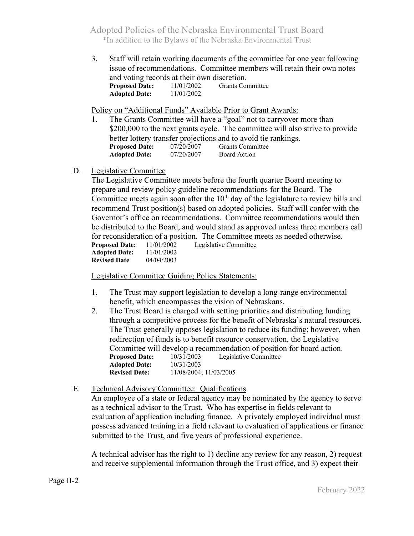3. Staff will retain working documents of the committee for one year following issue of recommendations. Committee members will retain their own notes and voting records at their own discretion. **Proposed Date:** 11/01/2002 Grants Committee **Adopted Date:** 11/01/2002

Policy on "Additional Funds" Available Prior to Grant Awards:

- 1. The Grants Committee will have a "goal" not to carryover more than \$200,000 to the next grants cycle. The committee will also strive to provide better lottery transfer projections and to avoid tie rankings.<br>**Proposed Date:** 07/20/2007 Grants Committee<br>**Adopted Date:** 07/20/2007 Board Action **Adopted Date:** 07/20/2007 Board Action
- D. Legislative Committee

 The Legislative Committee meets before the fourth quarter Board meeting to prepare and review policy guideline recommendations for the Board. The Committee meets again soon after the  $10<sup>th</sup>$  day of the legislature to review bills and recommend Trust position(s) based on adopted policies. Staff will confer with the Governor's office on recommendations. Committee recommendations would then be distributed to the Board, and would stand as approved unless three members call for reconsideration of a position. The Committee meets as needed otherwise. **Proposed Date:** 11/01/2002 Legislative Committee **Adopted Date:** 11/01/2002<br>**Revised Date** 04/04/2003 **Revised Date** 

Legislative Committee Guiding Policy Statements:

- 1. The Trust may support legislation to develop a long-range environmental benefit, which encompasses the vision of Nebraskans.
- 2. The Trust Board is charged with setting priorities and distributing funding through a competitive process for the benefit of Nebraska's natural resources. The Trust generally opposes legislation to reduce its funding; however, when redirection of funds is to benefit resource conservation, the Legislative Committee will develop a recommendation of position for board action.<br>**Proposed Date:** 10/31/2003 Legislative Committee Legislative Committee  **Adopted Date:** 10/31/2003  **Revised Date:** 11/08/2004; 11/03/2005

#### E. Technical Advisory Committee: Qualifications

 An employee of a state or federal agency may be nominated by the agency to serve as a technical advisor to the Trust. Who has expertise in fields relevant to evaluation of application including finance. A privately employed individual must possess advanced training in a field relevant to evaluation of applications or finance submitted to the Trust, and five years of professional experience.

 A technical advisor has the right to 1) decline any review for any reason, 2) request and receive supplemental information through the Trust office, and 3) expect their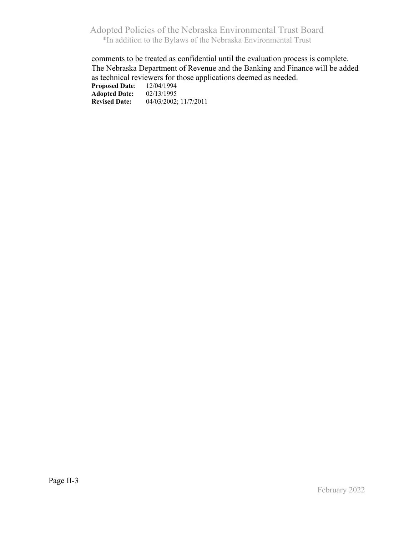comments to be treated as confidential until the evaluation process is complete. The Nebraska Department of Revenue and the Banking and Finance will be added as technical reviewers for those applications deemed as needed.<br>Proposed Date:  $12/04/1994$ **Proposed Date:** 12/04/1994<br>**Adopted Date:** 02/13/1995 **Adopted Date:**<br>Revised Date: **Revised Date:** 04/03/2002; 11/7/2011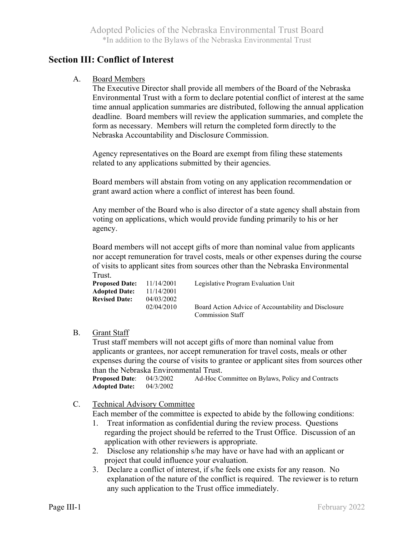# **Section III: Conflict of Interest**

#### A. Board Members

The Executive Director shall provide all members of the Board of the Nebraska Environmental Trust with a form to declare potential conflict of interest at the same time annual application summaries are distributed, following the annual application deadline. Board members will review the application summaries, and complete the form as necessary. Members will return the completed form directly to the Nebraska Accountability and Disclosure Commission.

Agency representatives on the Board are exempt from filing these statements related to any applications submitted by their agencies.

 Board members will abstain from voting on any application recommendation or grant award action where a conflict of interest has been found.

 Any member of the Board who is also director of a state agency shall abstain from voting on applications, which would provide funding primarily to his or her agency.

 Board members will not accept gifts of more than nominal value from applicants nor accept remuneration for travel costs, meals or other expenses during the course of visits to applicant sites from sources other than the Nebraska Environmental Trust.

| Proposed Date: $11/14/2001$ |            | Legislative Program Evaluation Unit                  |
|-----------------------------|------------|------------------------------------------------------|
| <b>Adopted Date:</b>        | 11/14/2001 |                                                      |
| <b>Revised Date:</b>        | 04/03/2002 |                                                      |
|                             | 02/04/2010 | Board Action Advice of Accountability and Disclosure |
|                             |            | Commission Staff                                     |

#### B. Grant Staff

Trust staff members will not accept gifts of more than nominal value from applicants or grantees, nor accept remuneration for travel costs, meals or other expenses during the course of visits to grantee or applicant sites from sources other than the Nebraska Environmental Trust.

**Proposed Date**: 04/3/2002 Ad-Hoc Committee on Bylaws, Policy and Contracts **Adopted Date:** 04/3/2002

C. Technical Advisory Committee

Each member of the committee is expected to abide by the following conditions:

- 1. Treat information as confidential during the review process. Questions regarding the project should be referred to the Trust Office. Discussion of an application with other reviewers is appropriate.
- 2. Disclose any relationship s/he may have or have had with an applicant or project that could influence your evaluation.
- 3. Declare a conflict of interest, if s/he feels one exists for any reason. No explanation of the nature of the conflict is required. The reviewer is to return any such application to the Trust office immediately.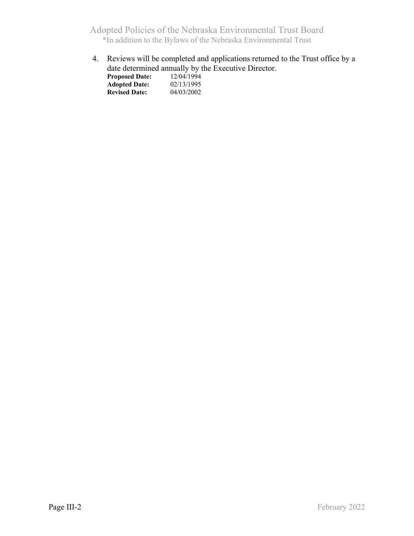4. Reviews will be completed and applications returned to the Trust office by a date determined annually by the Executive Director.

| <b>Proposed Date:</b> | 12/04/1994 |
|-----------------------|------------|
| <b>Adopted Date:</b>  | 02/13/1995 |
| <b>Revised Date:</b>  | 04/03/2002 |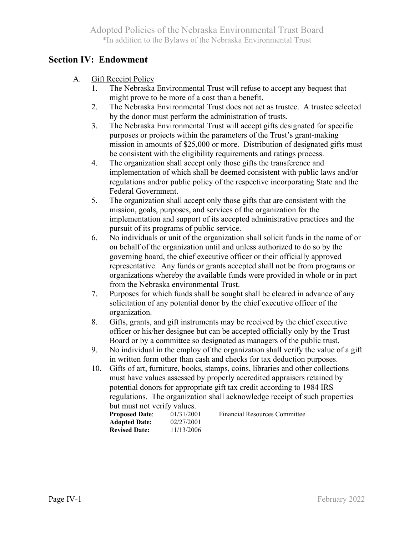# **Section IV: Endowment**

- A. Gift Receipt Policy
	- 1. The Nebraska Environmental Trust will refuse to accept any bequest that might prove to be more of a cost than a benefit.
	- 2. The Nebraska Environmental Trust does not act as trustee. A trustee selected by the donor must perform the administration of trusts.
	- 3. The Nebraska Environmental Trust will accept gifts designated for specific purposes or projects within the parameters of the Trust's grant-making mission in amounts of \$25,000 or more. Distribution of designated gifts must be consistent with the eligibility requirements and ratings process.
	- 4. The organization shall accept only those gifts the transference and implementation of which shall be deemed consistent with public laws and/or regulations and/or public policy of the respective incorporating State and the Federal Government.
	- 5. The organization shall accept only those gifts that are consistent with the mission, goals, purposes, and services of the organization for the implementation and support of its accepted administrative practices and the pursuit of its programs of public service.
	- 6. No individuals or unit of the organization shall solicit funds in the name of or on behalf of the organization until and unless authorized to do so by the governing board, the chief executive officer or their officially approved representative. Any funds or grants accepted shall not be from programs or organizations whereby the available funds were provided in whole or in part from the Nebraska environmental Trust.
	- 7. Purposes for which funds shall be sought shall be cleared in advance of any solicitation of any potential donor by the chief executive officer of the organization.
	- 8. Gifts, grants, and gift instruments may be received by the chief executive officer or his/her designee but can be accepted officially only by the Trust Board or by a committee so designated as managers of the public trust.
	- 9. No individual in the employ of the organization shall verify the value of a gift in written form other than cash and checks for tax deduction purposes.
	- 10. Gifts of art, furniture, books, stamps, coins, libraries and other collections must have values assessed by properly accredited appraisers retained by potential donors for appropriate gift tax credit according to 1984 IRS regulations. The organization shall acknowledge receipt of such properties but must not verify values.

| .                     |            |
|-----------------------|------------|
| <b>Proposed Date:</b> | 01/31/2001 |
| <b>Adopted Date:</b>  | 02/27/2001 |
| <b>Revised Date:</b>  | 11/13/2006 |
|                       |            |

**Financial Resources Committee**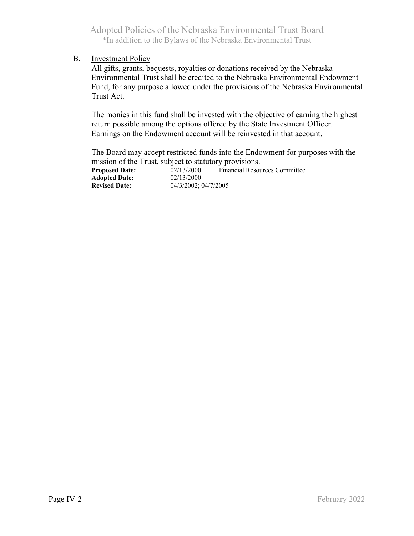#### B. Investment Policy

 All gifts, grants, bequests, royalties or donations received by the Nebraska Environmental Trust shall be credited to the Nebraska Environmental Endowment Fund, for any purpose allowed under the provisions of the Nebraska Environmental Trust Act.

 The monies in this fund shall be invested with the objective of earning the highest return possible among the options offered by the State Investment Officer. Earnings on the Endowment account will be reinvested in that account.

 The Board may accept restricted funds into the Endowment for purposes with the mission of the Trust, subject to statutory provisions.

| <b>Proposed Date:</b> | 02/13/2000           | Financial Resources Committee |
|-----------------------|----------------------|-------------------------------|
| <b>Adopted Date:</b>  | 02/13/2000           |                               |
| <b>Revised Date:</b>  | 04/3/2002: 04/7/2005 |                               |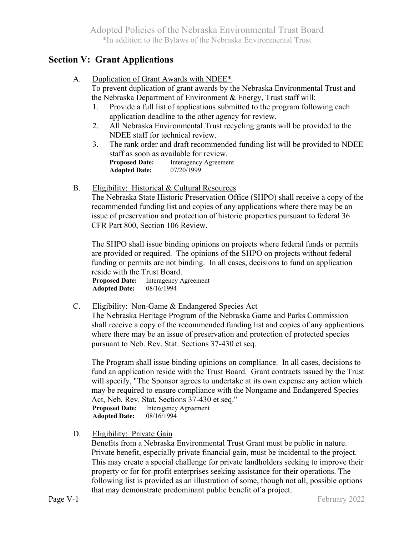## **Section V: Grant Applications**

A. Duplication of Grant Awards with NDEE\*

 To prevent duplication of grant awards by the Nebraska Environmental Trust and the Nebraska Department of Environment & Energy, Trust staff will:

- 1. Provide a full list of applications submitted to the program following each application deadline to the other agency for review.
- 2. All Nebraska Environmental Trust recycling grants will be provided to the NDEE staff for technical review.
- 3. The rank order and draft recommended funding list will be provided to NDEE staff as soon as available for review. **Proposed Date:** Interagency Agreement **Adopted Date:** 07/20/1999
- B. Eligibility: Historical & Cultural Resources

 The Nebraska State Historic Preservation Office (SHPO) shall receive a copy of the recommended funding list and copies of any applications where there may be an issue of preservation and protection of historic properties pursuant to federal 36 CFR Part 800, Section 106 Review.

 The SHPO shall issue binding opinions on projects where federal funds or permits are provided or required. The opinions of the SHPO on projects without federal funding or permits are not binding. In all cases, decisions to fund an application

reside with the Trust Board.<br>**Proposed Date:** Interagency Agreement<br>**Adopted Date:** 08/16/1994 **Adopted Date:** 

C. Eligibility: Non-Game & Endangered Species Act

 The Nebraska Heritage Program of the Nebraska Game and Parks Commission shall receive a copy of the recommended funding list and copies of any applications where there may be an issue of preservation and protection of protected species pursuant to Neb. Rev. Stat. Sections 37-430 et seq.

 The Program shall issue binding opinions on compliance. In all cases, decisions to fund an application reside with the Trust Board. Grant contracts issued by the Trust will specify, "The Sponsor agrees to undertake at its own expense any action which may be required to ensure compliance with the Nongame and Endangered Species Act, Neb. Rev. Stat. Sections 37-430 et seq."<br>**Proposed Date:** Interagency Agreement  **Adopted Date:** 08/16/1994

D. Eligibility: Private Gain

 Benefits from a Nebraska Environmental Trust Grant must be public in nature. Private benefit, especially private financial gain, must be incidental to the project. This may create a special challenge for private landholders seeking to improve their property or for for-profit enterprises seeking assistance for their operations. The following list is provided as an illustration of some, though not all, possible options that may demonstrate predominant public benefit of a project.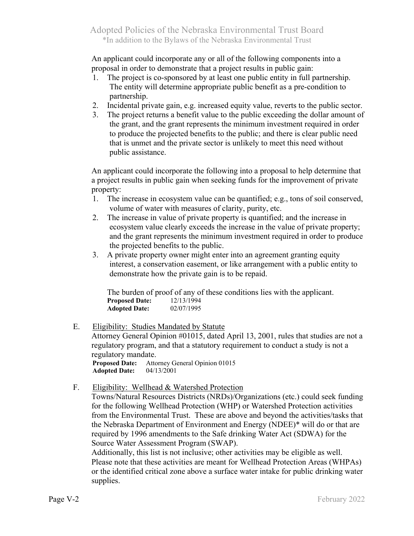An applicant could incorporate any or all of the following components into a proposal in order to demonstrate that a project results in public gain:

- 1. The project is co-sponsored by at least one public entity in full partnership. The entity will determine appropriate public benefit as a pre-condition to partnership.
- 2. Incidental private gain, e.g. increased equity value, reverts to the public sector.
- 3. The project returns a benefit value to the public exceeding the dollar amount of the grant, and the grant represents the minimum investment required in order to produce the projected benefits to the public; and there is clear public need that is unmet and the private sector is unlikely to meet this need without public assistance.

 An applicant could incorporate the following into a proposal to help determine that a project results in public gain when seeking funds for the improvement of private property:

- 1. The increase in ecosystem value can be quantified; e.g., tons of soil conserved, volume of water with measures of clarity, purity, etc.
- 2. The increase in value of private property is quantified; and the increase in ecosystem value clearly exceeds the increase in the value of private property; and the grant represents the minimum investment required in order to produce the projected benefits to the public.
- 3. A private property owner might enter into an agreement granting equity interest, a conservation easement, or like arrangement with a public entity to demonstrate how the private gain is to be repaid.

 The burden of proof of any of these conditions lies with the applicant. **Proposed Date:** 12/13/1994<br>**Adopted Date:** 02/07/1995 **Adopted Date:** 

#### E. Eligibility: Studies Mandated by Statute

 Attorney General Opinion #01015, dated April 13, 2001, rules that studies are not a regulatory program, and that a statutory requirement to conduct a study is not a regulatory mandate. **Proposed Date:** Attorney General Opinion 01015

 **Adopted Date:** 04/13/2001

### F. Eligibility: Wellhead & Watershed Protection

 Towns/Natural Resources Districts (NRDs)/Organizations (etc.) could seek funding for the following Wellhead Protection (WHP) or Watershed Protection activities from the Environmental Trust. These are above and beyond the activities/tasks that the Nebraska Department of Environment and Energy (NDEE)\* will do or that are required by 1996 amendments to the Safe drinking Water Act (SDWA) for the Source Water Assessment Program (SWAP).

 Additionally, this list is not inclusive; other activities may be eligible as well. Please note that these activities are meant for Wellhead Protection Areas (WHPAs) or the identified critical zone above a surface water intake for public drinking water supplies.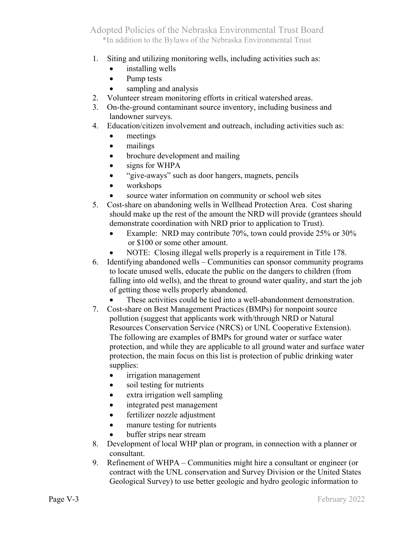- 1. Siting and utilizing monitoring wells, including activities such as:
	- installing wells
	- Pump tests
	- sampling and analysis
- 2. Volunteer stream monitoring efforts in critical watershed areas.
- 3. On-the-ground contaminant source inventory, including business and landowner surveys.
- 4. Education/citizen involvement and outreach, including activities such as:
	- meetings
	- mailings
	- brochure development and mailing
	- signs for WHPA
	- "give-aways" such as door hangers, magnets, pencils
	- workshops
	- source water information on community or school web sites
- 5. Cost-share on abandoning wells in Wellhead Protection Area. Cost sharing should make up the rest of the amount the NRD will provide (grantees should demonstrate coordination with NRD prior to application to Trust).
	- Example: NRD may contribute 70%, town could provide 25% or 30% or \$100 or some other amount.
	- NOTE: Closing illegal wells properly is a requirement in Title 178.
- 6. Identifying abandoned wells Communities can sponsor community programs to locate unused wells, educate the public on the dangers to children (from falling into old wells), and the threat to ground water quality, and start the job of getting those wells properly abandoned.
	- These activities could be tied into a well-abandonment demonstration.
- 7. Cost-share on Best Management Practices (BMPs) for nonpoint source pollution (suggest that applicants work with/through NRD or Natural Resources Conservation Service (NRCS) or UNL Cooperative Extension). The following are examples of BMPs for ground water or surface water protection, and while they are applicable to all ground water and surface water protection, the main focus on this list is protection of public drinking water supplies:
	- irrigation management
	- soil testing for nutrients
	- extra irrigation well sampling
	- integrated pest management
	- fertilizer nozzle adjustment
	- manure testing for nutrients
	- buffer strips near stream
- 8. Development of local WHP plan or program, in connection with a planner or consultant.
- 9. Refinement of WHPA Communities might hire a consultant or engineer (or contract with the UNL conservation and Survey Division or the United States Geological Survey) to use better geologic and hydro geologic information to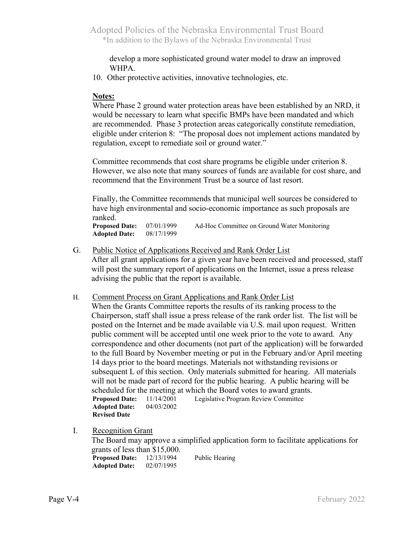develop a more sophisticated ground water model to draw an improved WHPA.

10. Other protective activities, innovative technologies, etc.

#### **Notes:**

 Where Phase 2 ground water protection areas have been established by an NRD, it would be necessary to learn what specific BMPs have been mandated and which are recommended. Phase 3 protection areas categorically constitute remediation, eligible under criterion 8: "The proposal does not implement actions mandated by regulation, except to remediate soil or ground water."

Committee recommends that cost share programs be eligible under criterion 8. However, we also note that many sources of funds are available for cost share, and recommend that the Environment Trust be a source of last resort.

Finally, the Committee recommends that municipal well sources be considered to have high environmental and socio-economic importance as such proposals are ranked.

**Proposed Date:** 07/01/1999 Ad-Hoc Committee on Ground Water Monitoring  **Adopted Date:** 08/17/1999

G. Public Notice of Applications Received and Rank Order List

 After all grant applications for a given year have been received and processed, staff will post the summary report of applications on the Internet, issue a press release advising the public that the report is available.

H. Comment Process on Grant Applications and Rank Order List

 When the Grants Committee reports the results of its ranking process to the Chairperson, staff shall issue a press release of the rank order list. The list will be posted on the Internet and be made available via U.S. mail upon request. Written public comment will be accepted until one week prior to the vote to award. Any correspondence and other documents (not part of the application) will be forwarded to the full Board by November meeting or put in the February and/or April meeting 14 days prior to the board meetings. Materials not withstanding revisions or subsequent L of this section. Only materials submitted for hearing. All materials will not be made part of record for the public hearing. A public hearing will be scheduled for the meeting at which the Board votes to award grants.**Proposed Date:** 11/14/2001 Legislative Program Review Committee Adopted Date: 04/03/2002 **Adopted Date: Revised Date**

I. Recognition Grant

 The Board may approve a simplified application form to facilitate applications for grants of less than \$15,000. Proposed Date:  $12/13/1994$  Public Hearing **Adopted Date:** 02/07/1995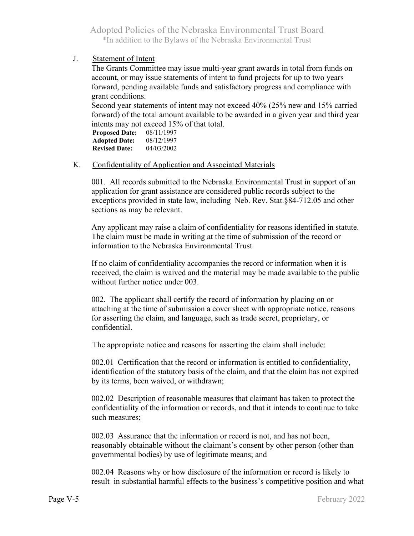J. Statement of Intent

 The Grants Committee may issue multi-year grant awards in total from funds on account, or may issue statements of intent to fund projects for up to two years forward, pending available funds and satisfactory progress and compliance with grant conditions.

 Second year statements of intent may not exceed 40% (25% new and 15% carried forward) of the total amount available to be awarded in a given year and third year intents may not exceed 15% of that total.

**Proposed Date:** 08/11/1997 **Adopted Date:** 08/12/1997 **Revised Date:** 04/03/2002

#### K. Confidentiality of Application and Associated Materials

 001. All records submitted to the Nebraska Environmental Trust in support of an application for grant assistance are considered public records subject to the exceptions provided in state law, including Neb. Rev. Stat.§84-712.05 and other sections as may be relevant.

 Any applicant may raise a claim of confidentiality for reasons identified in statute. The claim must be made in writing at the time of submission of the record or information to the Nebraska Environmental Trust

 If no claim of confidentiality accompanies the record or information when it is received, the claim is waived and the material may be made available to the public without further notice under 003.

 002. The applicant shall certify the record of information by placing on or attaching at the time of submission a cover sheet with appropriate notice, reasons for asserting the claim, and language, such as trade secret, proprietary, or confidential.

The appropriate notice and reasons for asserting the claim shall include:

 002.01 Certification that the record or information is entitled to confidentiality, identification of the statutory basis of the claim, and that the claim has not expired by its terms, been waived, or withdrawn;

 002.02 Description of reasonable measures that claimant has taken to protect the confidentiality of the information or records, and that it intends to continue to take such measures;

 002.03 Assurance that the information or record is not, and has not been, reasonably obtainable without the claimant's consent by other person (other than governmental bodies) by use of legitimate means; and

 002.04 Reasons why or how disclosure of the information or record is likely to result in substantial harmful effects to the business's competitive position and what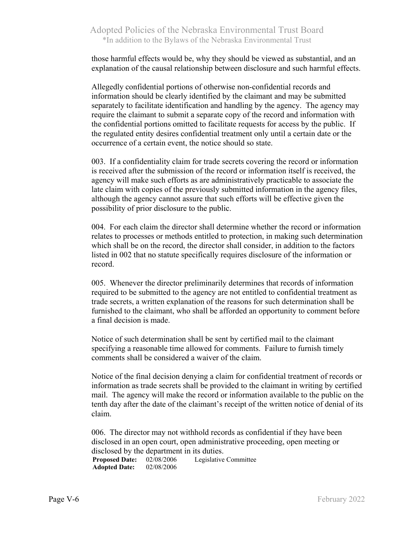those harmful effects would be, why they should be viewed as substantial, and an explanation of the causal relationship between disclosure and such harmful effects.

Allegedly confidential portions of otherwise non-confidential records and information should be clearly identified by the claimant and may be submitted separately to facilitate identification and handling by the agency. The agency may require the claimant to submit a separate copy of the record and information with the confidential portions omitted to facilitate requests for access by the public. If the regulated entity desires confidential treatment only until a certain date or the occurrence of a certain event, the notice should so state.

003. If a confidentiality claim for trade secrets covering the record or information is received after the submission of the record or information itself is received, the agency will make such efforts as are administratively practicable to associate the late claim with copies of the previously submitted information in the agency files, although the agency cannot assure that such efforts will be effective given the possibility of prior disclosure to the public.

004. For each claim the director shall determine whether the record or information relates to processes or methods entitled to protection, in making such determination which shall be on the record, the director shall consider, in addition to the factors listed in 002 that no statute specifically requires disclosure of the information or record.

005. Whenever the director preliminarily determines that records of information required to be submitted to the agency are not entitled to confidential treatment as trade secrets, a written explanation of the reasons for such determination shall be furnished to the claimant, who shall be afforded an opportunity to comment before a final decision is made.

Notice of such determination shall be sent by certified mail to the claimant specifying a reasonable time allowed for comments. Failure to furnish timely comments shall be considered a waiver of the claim.

Notice of the final decision denying a claim for confidential treatment of records or information as trade secrets shall be provided to the claimant in writing by certified mail. The agency will make the record or information available to the public on the tenth day after the date of the claimant's receipt of the written notice of denial of its claim.

006. The director may not withhold records as confidential if they have been disclosed in an open court, open administrative proceeding, open meeting or disclosed by the department in its duties.<br>Proposed Date:  $02/08/2006$  Legislative

02/08/2006 Legislative Committee **Adopted Date:** 02/08/2006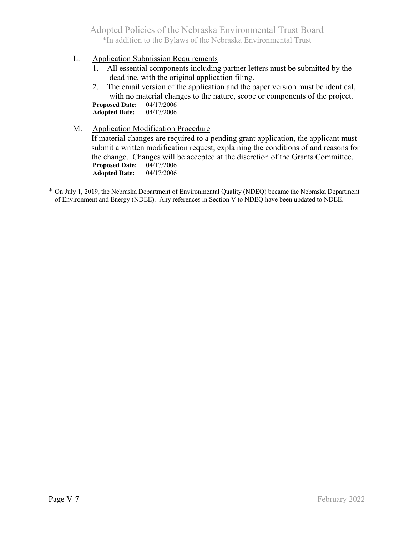- L. Application Submission Requirements
	- 1. All essential components including partner letters must be submitted by the deadline, with the original application filing.
	- 2. The email version of the application and the paper version must be identical, with no material changes to the nature, scope or components of the project.<br>seed Date:  $04/17/2006$ **Proposed Date: Adopted Date:** 04/17/2006
- M. Application Modification Procedure If material changes are required to a pending grant application, the applicant must submit a written modification request, explaining the conditions of and reasons for the change. Changes will be accepted at the discretion of the Grants Committee. **Proposed Date:** 04/17/2006 **Adopted Date:**
- \* On July 1, 2019, the Nebraska Department of Environmental Quality (NDEQ) became the Nebraska Department of Environment and Energy (NDEE). Any references in Section V to NDEQ have been updated to NDEE.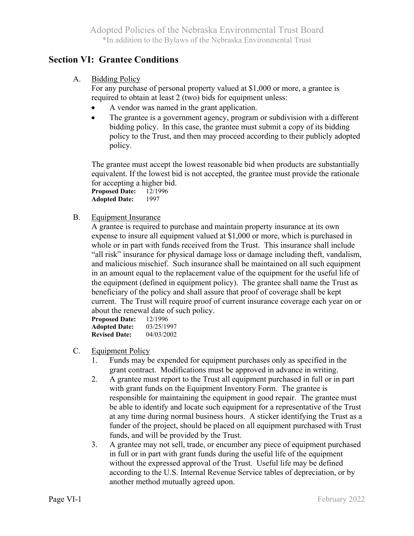# **Section VI: Grantee Conditions**

#### A. Bidding Policy

 For any purchase of personal property valued at \$1,000 or more, a grantee is required to obtain at least 2 (two) bids for equipment unless:

- A vendor was named in the grant application.
- The grantee is a government agency, program or subdivision with a different bidding policy. In this case, the grantee must submit a copy of its bidding policy to the Trust, and then may proceed according to their publicly adopted policy.

 The grantee must accept the lowest reasonable bid when products are substantially equivalent. If the lowest bid is not accepted, the grantee must provide the rationale for accepting a higher bid. **Proposed Date:** 12/1996

**Adopted Date:** 1997

B. Equipment Insurance

 A grantee is required to purchase and maintain property insurance at its own expense to insure all equipment valued at \$1,000 or more, which is purchased in whole or in part with funds received from the Trust. This insurance shall include "all risk" insurance for physical damage loss or damage including theft, vandalism, and malicious mischief. Such insurance shall be maintained on all such equipment in an amount equal to the replacement value of the equipment for the useful life of the equipment (defined in equipment policy). The grantee shall name the Trust as beneficiary of the policy and shall assure that proof of coverage shall be kept current. The Trust will require proof of current insurance coverage each year on or about the renewal date of such policy. **Proposed Date:** 12/1996

| <b>Proposed Date:</b> | 12/1996    |
|-----------------------|------------|
| <b>Adopted Date:</b>  | 03/25/1997 |
| <b>Revised Date:</b>  | 04/03/2002 |

- C. Equipment Policy
	- 1. Funds may be expended for equipment purchases only as specified in the grant contract. Modifications must be approved in advance in writing.
	- 2. A grantee must report to the Trust all equipment purchased in full or in part with grant funds on the Equipment Inventory Form. The grantee is responsible for maintaining the equipment in good repair. The grantee must be able to identify and locate such equipment for a representative of the Trust at any time during normal business hours. A sticker identifying the Trust as a funder of the project, should be placed on all equipment purchased with Trust funds, and will be provided by the Trust.
	- 3. A grantee may not sell, trade, or encumber any piece of equipment purchased in full or in part with grant funds during the useful life of the equipment without the expressed approval of the Trust. Useful life may be defined according to the U.S. Internal Revenue Service tables of depreciation, or by another method mutually agreed upon.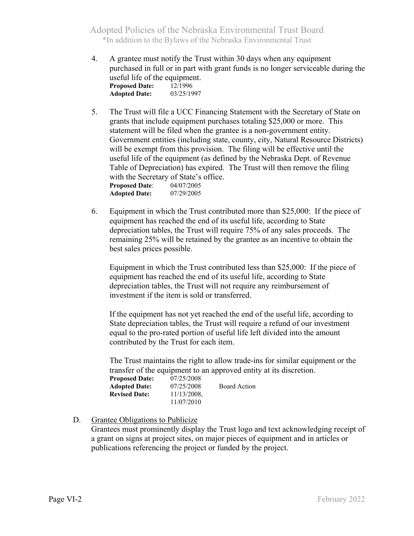- 4. A grantee must notify the Trust within 30 days when any equipment purchased in full or in part with grant funds is no longer serviceable during the useful life of the equipment. **Proposed Date:** 12/1996  **Adopted Date:** 03/25/1997
- 5. The Trust will file a UCC Financing Statement with the Secretary of State on grants that include equipment purchases totaling \$25,000 or more. This statement will be filed when the grantee is a non-government entity. Government entities (including state, county, city, Natural Resource Districts) will be exempt from this provision. The filing will be effective until the useful life of the equipment (as defined by the Nebraska Dept. of Revenue Table of Depreciation) has expired. The Trust will then remove the filing with the Secretary of State's office. **Proposed Date:** 04/07/2005<br>**Adopted Date:** 07/29/2005 **Adopted Date:**
- 6. Equipment in which the Trust contributed more than \$25,000: If the piece of equipment has reached the end of its useful life, according to State depreciation tables, the Trust will require 75% of any sales proceeds. The remaining 25% will be retained by the grantee as an incentive to obtain the best sales prices possible.

 Equipment in which the Trust contributed less than \$25,000: If the piece of equipment has reached the end of its useful life, according to State depreciation tables, the Trust will not require any reimbursement of investment if the item is sold or transferred.

 If the equipment has not yet reached the end of the useful life, according to State depreciation tables, the Trust will require a refund of our investment equal to the pro-rated portion of useful life left divided into the amount contributed by the Trust for each item.

 The Trust maintains the right to allow trade-ins for similar equipment or the transfer of the equipment to an approved entity at its discretion.

**Proposed Date:** 07/25/2008  **Adopted Date:** 07/25/2008 Board Action **Revised Date:** 11/13/2008, 11/07/2010

#### D. Grantee Obligations to Publicize

 Grantees must prominently display the Trust logo and text acknowledging receipt of a grant on signs at project sites, on major pieces of equipment and in articles or publications referencing the project or funded by the project.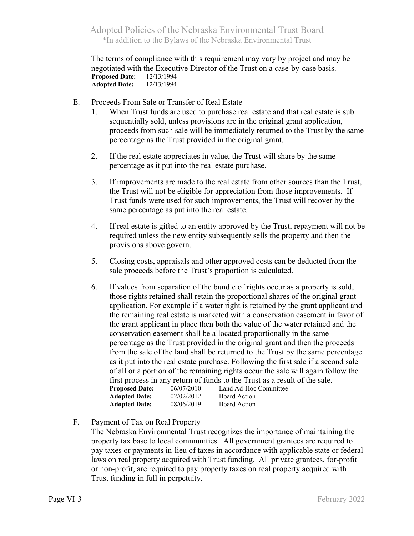The terms of compliance with this requirement may vary by project and may be negotiated with the Executive Director of the Trust on a case-by-case basis. **Proposed Date:** 12/13/1994 **Adopted Date:** 12/13/1994

- E. Proceeds From Sale or Transfer of Real Estate
	- 1. When Trust funds are used to purchase real estate and that real estate is sub sequentially sold, unless provisions are in the original grant application, proceeds from such sale will be immediately returned to the Trust by the same percentage as the Trust provided in the original grant.
	- 2. If the real estate appreciates in value, the Trust will share by the same percentage as it put into the real estate purchase.
	- 3. If improvements are made to the real estate from other sources than the Trust, the Trust will not be eligible for appreciation from those improvements. If Trust funds were used for such improvements, the Trust will recover by the same percentage as put into the real estate.
	- 4. If real estate is gifted to an entity approved by the Trust, repayment will not be required unless the new entity subsequently sells the property and then the provisions above govern.
	- 5. Closing costs, appraisals and other approved costs can be deducted from the sale proceeds before the Trust's proportion is calculated.
	- 6. If values from separation of the bundle of rights occur as a property is sold, those rights retained shall retain the proportional shares of the original grant application. For example if a water right is retained by the grant applicant and the remaining real estate is marketed with a conservation easement in favor of the grant applicant in place then both the value of the water retained and the conservation easement shall be allocated proportionally in the same percentage as the Trust provided in the original grant and then the proceeds from the sale of the land shall be returned to the Trust by the same percentage as it put into the real estate purchase. Following the first sale if a second sale of all or a portion of the remaining rights occur the sale will again follow the first process in any return of funds to the Trust as a result of the sale. **Proposed Date:** 06/07/2010 Land Ad-Hoc Committee **Adopted Date:** 02/02/2012 Board Action **Adopted Date:** 08/06/2019 Board Action
- F. Payment of Tax on Real Property

 The Nebraska Environmental Trust recognizes the importance of maintaining the property tax base to local communities. All government grantees are required to pay taxes or payments in-lieu of taxes in accordance with applicable state or federal laws on real property acquired with Trust funding. All private grantees, for-profit or non-profit, are required to pay property taxes on real property acquired with Trust funding in full in perpetuity.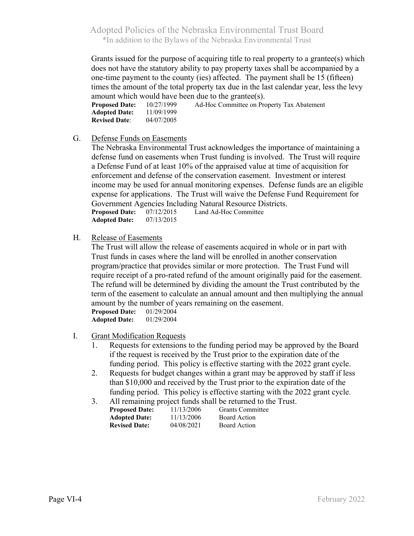Grants issued for the purpose of acquiring title to real property to a grantee(s) which does not have the statutory ability to pay property taxes shall be accompanied by a one-time payment to the county (ies) affected. The payment shall be 15 (fifteen) times the amount of the total property tax due in the last calendar year, less the levy

amount which would have been due to the grantee(s). **Proposed Date:** 10/27/1999 Ad-Hoc Committee on Property Tax Abatement **Adopted Date:** 11/09/1999<br>**Revised Date**: 04/07/2005 **Revised Date:** 

G. Defense Funds on Easements

 The Nebraska Environmental Trust acknowledges the importance of maintaining a defense fund on easements when Trust funding is involved. The Trust will require a Defense Fund of at least 10% of the appraised value at time of acquisition for enforcement and defense of the conservation easement. Investment or interest income may be used for annual monitoring expenses. Defense funds are an eligible expense for applications. The Trust will waive the Defense Fund Requirement for Government Agencies Including Natural Resource Districts. **Proposed Date:** 07/12/2015 Land Ad-Hoc Committee

 **Adopted Date:** 07/13/2015

H. Release of Easements

 The Trust will allow the release of easements acquired in whole or in part with Trust funds in cases where the land will be enrolled in another conservation program/practice that provides similar or more protection. The Trust Fund will require receipt of a pro-rated refund of the amount originally paid for the easement. The refund will be determined by dividing the amount the Trust contributed by the term of the easement to calculate an annual amount and then multiplying the annual amount by the number of years remaining on the easement.<br>Proposed Date:  $01/29/2004$ **Proposed Date:** 

 **Adopted Date:** 01/29/2004

- I. Grant Modification Requests
	- 1. Requests for extensions to the funding period may be approved by the Board if the request is received by the Trust prior to the expiration date of the funding period. This policy is effective starting with the 2022 grant cycle.
	- 2. Requests for budget changes within a grant may be approved by staff if less than \$10,000 and received by the Trust prior to the expiration date of the funding period. This policy is effective starting with the 2022 grant cycle.
	- 3. All remaining project funds shall be returned to the Trust.<br>**Purposed Data**  $\frac{11}{12,2006}$  Cunt Cannitus **Grants Committee**

| <b>Proposed Date:</b> | 11/13/2000 | Grants Committee    |
|-----------------------|------------|---------------------|
| <b>Adopted Date:</b>  | 11/13/2006 | <b>Board Action</b> |
| <b>Revised Date:</b>  | 04/08/2021 | <b>Board Action</b> |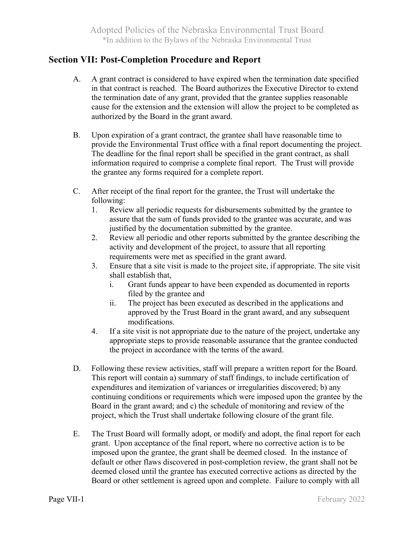# **Section VII: Post-Completion Procedure and Report**

- A. A grant contract is considered to have expired when the termination date specified in that contract is reached. The Board authorizes the Executive Director to extend the termination date of any grant, provided that the grantee supplies reasonable cause for the extension and the extension will allow the project to be completed as authorized by the Board in the grant award.
- B. Upon expiration of a grant contract, the grantee shall have reasonable time to provide the Environmental Trust office with a final report documenting the project. The deadline for the final report shall be specified in the grant contract, as shall information required to comprise a complete final report. The Trust will provide the grantee any forms required for a complete report.
- C. After receipt of the final report for the grantee, the Trust will undertake the following:
	- 1. Review all periodic requests for disbursements submitted by the grantee to assure that the sum of funds provided to the grantee was accurate, and was justified by the documentation submitted by the grantee.
	- 2. Review all periodic and other reports submitted by the grantee describing the activity and development of the project, to assure that all reporting requirements were met as specified in the grant award.
	- 3. Ensure that a site visit is made to the project site, if appropriate. The site visit shall establish that,
		- i. Grant funds appear to have been expended as documented in reports filed by the grantee and
		- ii. The project has been executed as described in the applications and approved by the Trust Board in the grant award, and any subsequent modifications.
	- 4. If a site visit is not appropriate due to the nature of the project, undertake any appropriate steps to provide reasonable assurance that the grantee conducted the project in accordance with the terms of the award.
- D. Following these review activities, staff will prepare a written report for the Board. This report will contain a) summary of staff findings, to include certification of expenditures and itemization of variances or irregularities discovered; b) any continuing conditions or requirements which were imposed upon the grantee by the Board in the grant award; and c) the schedule of monitoring and review of the project, which the Trust shall undertake following closure of the grant file.
- E. The Trust Board will formally adopt, or modify and adopt, the final report for each grant. Upon acceptance of the final report, where no corrective action is to be imposed upon the grantee, the grant shall be deemed closed. In the instance of default or other flaws discovered in post-completion review, the grant shall not be deemed closed until the grantee has executed corrective actions as directed by the Board or other settlement is agreed upon and complete. Failure to comply with all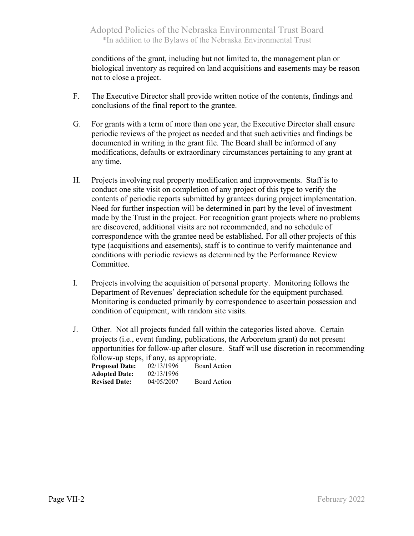conditions of the grant, including but not limited to, the management plan or biological inventory as required on land acquisitions and easements may be reason not to close a project.

- F. The Executive Director shall provide written notice of the contents, findings and conclusions of the final report to the grantee.
- G. For grants with a term of more than one year, the Executive Director shall ensure periodic reviews of the project as needed and that such activities and findings be documented in writing in the grant file. The Board shall be informed of any modifications, defaults or extraordinary circumstances pertaining to any grant at any time.
- H. Projects involving real property modification and improvements. Staff is to conduct one site visit on completion of any project of this type to verify the contents of periodic reports submitted by grantees during project implementation. Need for further inspection will be determined in part by the level of investment made by the Trust in the project. For recognition grant projects where no problems are discovered, additional visits are not recommended, and no schedule of correspondence with the grantee need be established. For all other projects of this type (acquisitions and easements), staff is to continue to verify maintenance and conditions with periodic reviews as determined by the Performance Review Committee.
- I. Projects involving the acquisition of personal property. Monitoring follows the Department of Revenues' depreciation schedule for the equipment purchased. Monitoring is conducted primarily by correspondence to ascertain possession and condition of equipment, with random site visits.
- J. Other. Not all projects funded fall within the categories listed above. Certain projects (i.e., event funding, publications, the Arboretum grant) do not present opportunities for follow-up after closure. Staff will use discretion in recommending follow-up steps, if any, as appropriate.

| <b>Proposed Date:</b> | 02/13/1996 | <b>Board Action</b> |
|-----------------------|------------|---------------------|
| <b>Adopted Date:</b>  | 02/13/1996 |                     |
| <b>Revised Date:</b>  | 04/05/2007 | <b>Board Action</b> |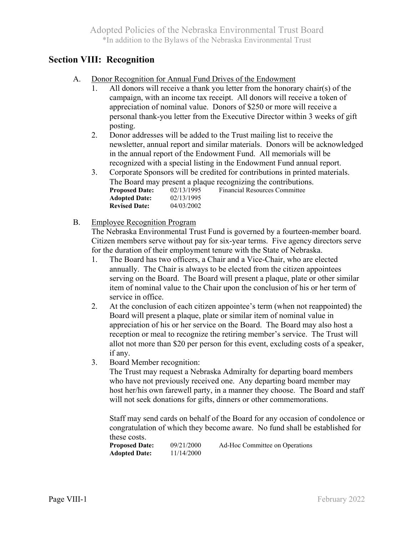## **Section VIII: Recognition**

- A. Donor Recognition for Annual Fund Drives of the Endowment
	- 1. All donors will receive a thank you letter from the honorary chair(s) of the campaign, with an income tax receipt. All donors will receive a token of appreciation of nominal value. Donors of \$250 or more will receive a personal thank-you letter from the Executive Director within 3 weeks of gift posting.
	- 2. Donor addresses will be added to the Trust mailing list to receive the newsletter, annual report and similar materials. Donors will be acknowledged in the annual report of the Endowment Fund. All memorials will be recognized with a special listing in the Endowment Fund annual report.
	- 3. Corporate Sponsors will be credited for contributions in printed materials. The Board may present a plaque recognizing the contributions.<br>**Proposed Date:** 02/13/1995 Financial Resources Committee **Proposed Date:** 02/13/1995 Financial Resources Committee  **Adopted Date:** 02/13/1995  **Revised Date:** 04/03/2002
- B. Employee Recognition Program

 The Nebraska Environmental Trust Fund is governed by a fourteen-member board. Citizen members serve without pay for six-year terms. Five agency directors serve for the duration of their employment tenure with the State of Nebraska.

- 1. The Board has two officers, a Chair and a Vice-Chair, who are elected annually. The Chair is always to be elected from the citizen appointees serving on the Board. The Board will present a plaque, plate or other similar item of nominal value to the Chair upon the conclusion of his or her term of service in office.
- 2. At the conclusion of each citizen appointee's term (when not reappointed) the Board will present a plaque, plate or similar item of nominal value in appreciation of his or her service on the Board. The Board may also host a reception or meal to recognize the retiring member's service. The Trust will allot not more than \$20 per person for this event, excluding costs of a speaker, if any.
- 3. Board Member recognition:

 The Trust may request a Nebraska Admiralty for departing board members who have not previously received one. Any departing board member may host her/his own farewell party, in a manner they choose. The Board and staff will not seek donations for gifts, dinners or other commemorations.

 Staff may send cards on behalf of the Board for any occasion of condolence or congratulation of which they become aware. No fund shall be established for these costs.

**Proposed Date:** 09/21/2000 Ad-Hoc Committee on Operations  **Adopted Date:** 11/14/2000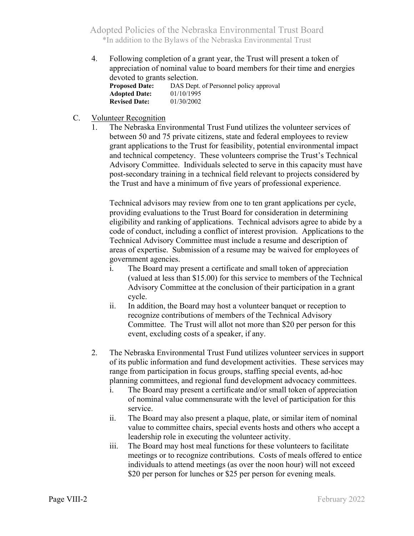4. Following completion of a grant year, the Trust will present a token of appreciation of nominal value to board members for their time and energies devoted to grants selection.

| <b>Proposed Date:</b> | DAS Dept. of Personnel policy approval |
|-----------------------|----------------------------------------|
| <b>Adopted Date:</b>  | 01/10/1995                             |
| <b>Revised Date:</b>  | 01/30/2002                             |

#### C. Volunteer Recognition

The Nebraska Environmental Trust Fund utilizes the volunteer services of between 50 and 75 private citizens, state and federal employees to review grant applications to the Trust for feasibility, potential environmental impact and technical competency. These volunteers comprise the Trust's Technical Advisory Committee. Individuals selected to serve in this capacity must have post-secondary training in a technical field relevant to projects considered by the Trust and have a minimum of five years of professional experience.

 Technical advisors may review from one to ten grant applications per cycle, providing evaluations to the Trust Board for consideration in determining eligibility and ranking of applications. Technical advisors agree to abide by a code of conduct, including a conflict of interest provision. Applications to the Technical Advisory Committee must include a resume and description of areas of expertise. Submission of a resume may be waived for employees of government agencies.

- i. The Board may present a certificate and small token of appreciation (valued at less than \$15.00) for this service to members of the Technical Advisory Committee at the conclusion of their participation in a grant cycle.
- ii. In addition, the Board may host a volunteer banquet or reception to recognize contributions of members of the Technical Advisory Committee. The Trust will allot not more than \$20 per person for this event, excluding costs of a speaker, if any.
- 2. The Nebraska Environmental Trust Fund utilizes volunteer services in support of its public information and fund development activities. These services may range from participation in focus groups, staffing special events, ad-hoc planning committees, and regional fund development advocacy committees.
	- i. The Board may present a certificate and/or small token of appreciation of nominal value commensurate with the level of participation for this service.
	- ii. The Board may also present a plaque, plate, or similar item of nominal value to committee chairs, special events hosts and others who accept a leadership role in executing the volunteer activity.
	- iii. The Board may host meal functions for these volunteers to facilitate meetings or to recognize contributions. Costs of meals offered to entice individuals to attend meetings (as over the noon hour) will not exceed \$20 per person for lunches or \$25 per person for evening meals.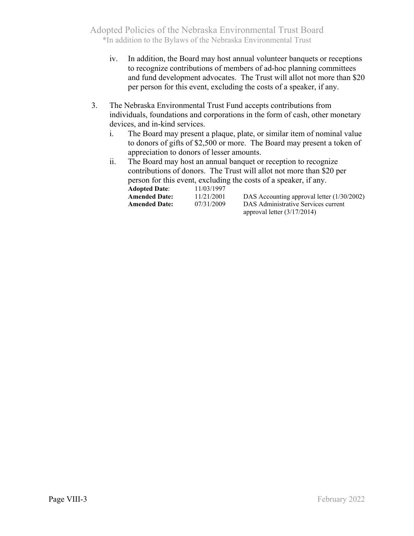- iv. In addition, the Board may host annual volunteer banquets or receptions to recognize contributions of members of ad-hoc planning committees and fund development advocates. The Trust will allot not more than \$20 per person for this event, excluding the costs of a speaker, if any.
- 3. The Nebraska Environmental Trust Fund accepts contributions from individuals, foundations and corporations in the form of cash, other monetary devices, and in-kind services.
	- i. The Board may present a plaque, plate, or similar item of nominal value to donors of gifts of \$2,500 or more. The Board may present a token of appreciation to donors of lesser amounts.
	- ii. The Board may host an annual banquet or reception to recognize contributions of donors. The Trust will allot not more than \$20 per person for this event, excluding the costs of a speaker, if any.

| <b>Adopted Date:</b> | 11/03/1997 |                                            |
|----------------------|------------|--------------------------------------------|
| Amended Date:        | 11/21/2001 | DAS Accounting approval letter (1/30/2002) |
| <b>Amended Date:</b> | 07/31/2009 | DAS Administrative Services current        |
|                      |            | approval letter $(3/17/2014)$              |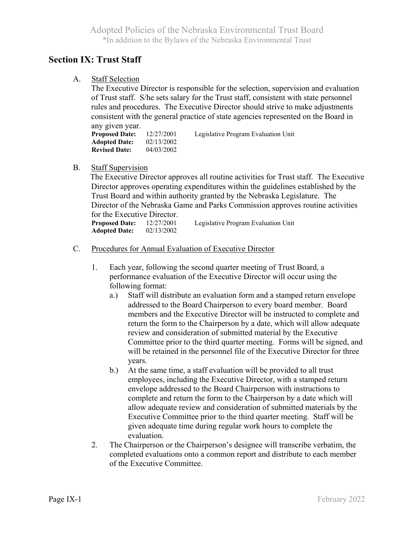# **Section IX: Trust Staff**

A. Staff Selection

The Executive Director is responsible for the selection, supervision and evaluation of Trust staff. S/he sets salary for the Trust staff, consistent with state personnel rules and procedures. The Executive Director should strive to make adjustments consistent with the general practice of state agencies represented on the Board in any given year.

**Proposed Date:** 12/27/2001 Legislative Program Evaluation Unit **Adopted Date:** 02/13/2002<br>**Revised Date:** 04/03/2002 **Revised Date:** 

### B. Staff Supervision

 The Executive Director approves all routine activities for Trust staff. The Executive Director approves operating expenditures within the guidelines established by the Trust Board and within authority granted by the Nebraska Legislature. The Director of the Nebraska Game and Parks Commission approves routine activities for the Executive Director.

**Proposed Date:** 12/27/2001 Legislative Program Evaluation Unit **Adopted Date:** 02/13/2002

- C. Procedures for Annual Evaluation of Executive Director
	- 1. Each year, following the second quarter meeting of Trust Board, a performance evaluation of the Executive Director will occur using the following format:
		- a.) Staff will distribute an evaluation form and a stamped return envelope addressed to the Board Chairperson to every board member. Board members and the Executive Director will be instructed to complete and return the form to the Chairperson by a date, which will allow adequate review and consideration of submitted material by the Executive Committee prior to the third quarter meeting. Forms will be signed, and will be retained in the personnel file of the Executive Director for three years.
		- b.) At the same time, a staff evaluation will be provided to all trust employees, including the Executive Director, with a stamped return envelope addressed to the Board Chairperson with instructions to complete and return the form to the Chairperson by a date which will allow adequate review and consideration of submitted materials by the Executive Committee prior to the third quarter meeting. Staff will be given adequate time during regular work hours to complete the evaluation.
	- 2. The Chairperson or the Chairperson's designee will transcribe verbatim, the completed evaluations onto a common report and distribute to each member of the Executive Committee.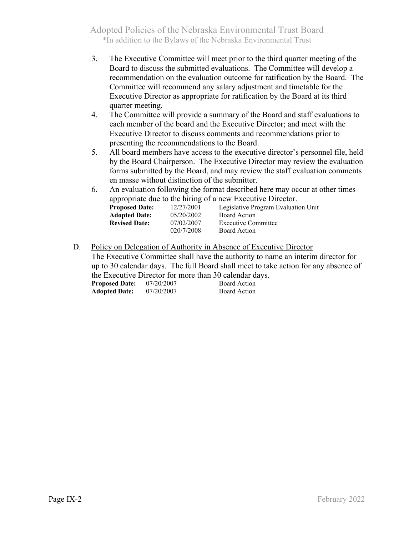- 3. The Executive Committee will meet prior to the third quarter meeting of the Board to discuss the submitted evaluations. The Committee will develop a recommendation on the evaluation outcome for ratification by the Board. The Committee will recommend any salary adjustment and timetable for the Executive Director as appropriate for ratification by the Board at its third quarter meeting.
- 4. The Committee will provide a summary of the Board and staff evaluations to each member of the board and the Executive Director; and meet with the Executive Director to discuss comments and recommendations prior to presenting the recommendations to the Board.
- 5. All board members have access to the executive director's personnel file, held by the Board Chairperson. The Executive Director may review the evaluation forms submitted by the Board, and may review the staff evaluation comments en masse without distinction of the submitter.
- 6. An evaluation following the format described here may occur at other times appropriate due to the hiring of a new Executive Director.

| <b>Proposed Date:</b> | 12/27/2001 | Legislative Program Evaluation Unit |
|-----------------------|------------|-------------------------------------|
| <b>Adopted Date:</b>  | 05/20/2002 | Board Action                        |
| <b>Revised Date:</b>  | 07/02/2007 | Executive Committee                 |
|                       | 020/7/2008 | Board Action                        |

D. Policy on Delegation of Authority in Absence of Executive Director The Executive Committee shall have the authority to name an interim director for up to 30 calendar days. The full Board shall meet to take action for any absence of the Executive Director for more than 30 calendar days.

| <b>Proposed Date:</b> | 07/20/2007 | Board Action |
|-----------------------|------------|--------------|
| <b>Adopted Date:</b>  | 07/20/2007 | Board Action |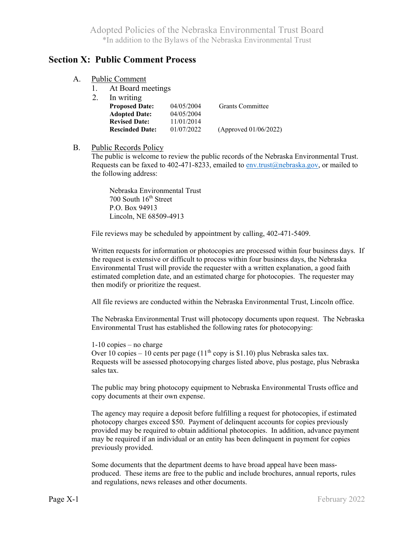## **Section X: Public Comment Process**

| A. | <b>Public Comment</b> |
|----|-----------------------|
|    |                       |

1. At Board meetings

| 04/05/2004                           | <b>Grants Committee</b> |
|--------------------------------------|-------------------------|
| 04/05/2004                           |                         |
| 11/01/2014                           |                         |
| 01/07/2022<br><b>Rescinded Date:</b> | (Approved 01/06/2022)   |
|                                      |                         |

#### B. Public Records Policy

 The public is welcome to review the public records of the Nebraska Environmental Trust. Requests can be faxed to 402-471-8233, emailed to [env.trust@nebraska.gov,](mailto:env.trust@nebraska.gov) or mailed to the following address:

 Nebraska Environmental Trust 700 South 16<sup>th</sup> Street P.O. Box 94913 Lincoln, NE 68509-4913

File reviews may be scheduled by appointment by calling, 402-471-5409.

 Written requests for information or photocopies are processed within four business days. If the request is extensive or difficult to process within four business days, the Nebraska Environmental Trust will provide the requester with a written explanation, a good faith estimated completion date, and an estimated charge for photocopies. The requester may then modify or prioritize the request.

All file reviews are conducted within the Nebraska Environmental Trust, Lincoln office.

 The Nebraska Environmental Trust will photocopy documents upon request. The Nebraska Environmental Trust has established the following rates for photocopying:

 1-10 copies – no charge Over 10 copies – 10 cents per page  $(11<sup>th</sup>$  copy is \$1.10) plus Nebraska sales tax. Requests will be assessed photocopying charges listed above, plus postage, plus Nebraska sales tax.

 The public may bring photocopy equipment to Nebraska Environmental Trusts office and copy documents at their own expense.

 The agency may require a deposit before fulfilling a request for photocopies, if estimated photocopy charges exceed \$50. Payment of delinquent accounts for copies previously provided may be required to obtain additional photocopies. In addition, advance payment may be required if an individual or an entity has been delinquent in payment for copies previously provided.

 Some documents that the department deems to have broad appeal have been massproduced. These items are free to the public and include brochures, annual reports, rules and regulations, news releases and other documents.